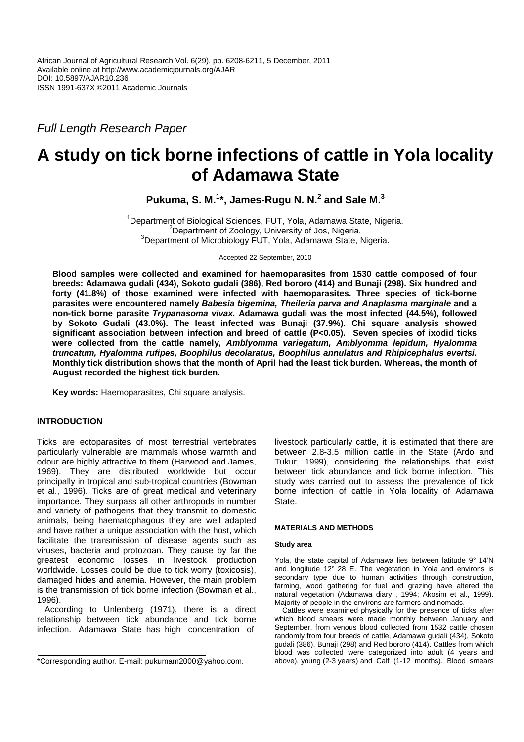Full Length Research Paper

# **A study on tick borne infections of cattle in Yola locality of Adamawa State**

**Pukuma, S. M.<sup>1</sup> \*, James-Rugu N. N.<sup>2</sup> and Sale M.<sup>3</sup>**

<sup>1</sup>Department of Biological Sciences, FUT, Yola, Adamawa State, Nigeria. <sup>2</sup>Department of Zoology, University of Jos, Nigeria. <sup>3</sup>Department of Microbiology FUT, Yola, Adamawa State, Nigeria.

Accepted 22 September, 2010

**Blood samples were collected and examined for haemoparasites from 1530 cattle composed of four breeds: Adamawa gudali (434), Sokoto gudali (386), Red bororo (414) and Bunaji (298). Six hundred and forty (41.8%) of those examined were infected with haemoparasites. Three species of tick-borne parasites were encountered namely Babesia bigemina, Theileria parva and Anaplasma marginale and a non-tick borne parasite Trypanasoma vivax. Adamawa gudali was the most infected (44.5%), followed by Sokoto Gudali (43.0%). The least infected was Bunaji (37.9%). Chi square analysis showed significant association between infection and breed of cattle (P<0.05). Seven species of ixodid ticks were collected from the cattle namely, Amblyomma variegatum, Amblyomma lepidum, Hyalomma truncatum, Hyalomma rufipes, Boophilus decolaratus, Boophilus annulatus and Rhipicephalus evertsi. Monthly tick distribution shows that the month of April had the least tick burden. Whereas, the month of August recorded the highest tick burden.** 

**Key words:** Haemoparasites, Chi square analysis.

# **INTRODUCTION**

Ticks are ectoparasites of most terrestrial vertebrates particularly vulnerable are mammals whose warmth and odour are highly attractive to them (Harwood and James, 1969). They are distributed worldwide but occur principally in tropical and sub-tropical countries (Bowman et al., 1996). Ticks are of great medical and veterinary importance. They surpass all other arthropods in number and variety of pathogens that they transmit to domestic animals, being haematophagous they are well adapted and have rather a unique association with the host, which facilitate the transmission of disease agents such as viruses, bacteria and protozoan. They cause by far the greatest economic losses in livestock production worldwide. Losses could be due to tick worry (toxicosis), damaged hides and anemia. However, the main problem is the transmission of tick borne infection (Bowman et al., 1996).

According to Unlenberg (1971), there is a direct relationship between tick abundance and tick borne infection. Adamawa State has high concentration of

livestock particularly cattle, it is estimated that there are between 2.8-3.5 million cattle in the State (Ardo and Tukur, 1999), considering the relationships that exist between tick abundance and tick borne infection. This study was carried out to assess the prevalence of tick borne infection of cattle in Yola locality of Adamawa State.

#### **MATERIALS AND METHODS**

### **Study area**

Yola, the state capital of Adamawa lies between latitude 9° 14'N and longitude 12° 28 E. The vegetation in Yola and environs is secondary type due to human activities through construction, farming, wood gathering for fuel and grazing have altered the natural vegetation (Adamawa diary , 1994; Akosim et al., 1999). Majority of people in the environs are farmers and nomads.

Cattles were examined physically for the presence of ticks after which blood smears were made monthly between January and September, from venous blood collected from 1532 cattle chosen randomly from four breeds of cattle, Adamawa gudali (434), Sokoto gudali (386), Bunaji (298) and Red bororo (414). Cattles from which blood was collected were categorized into adult (4 years and above), young (2-3 years) and Calf (1-12 months). Blood smears

<sup>\*</sup>Corresponding author. E-mail: pukumam2000@yahoo.com.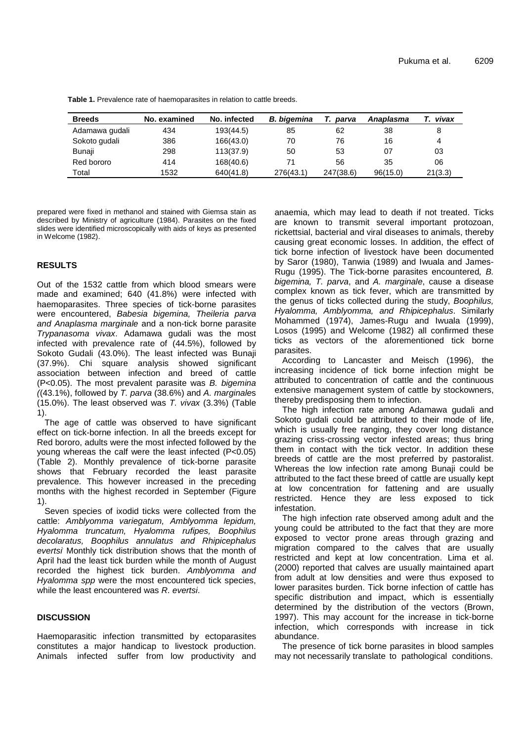**Table 1.** Prevalence rate of haemoparasites in relation to cattle breeds.

| <b>Breeds</b>  | No. examined | No. infected | <b>B.</b> bigemina | parva     | Anaplasma | vivax   |
|----------------|--------------|--------------|--------------------|-----------|-----------|---------|
| Adamawa gudali | 434          | 193(44.5)    | 85                 | 62        | 38        | 8       |
| Sokoto gudali  | 386          | 166(43.0)    | 70                 | 76        | 16        | 4       |
| Bunaji         | 298          | 113(37.9)    | 50                 | 53        | 07        | 03      |
| Red bororo     | 414          | 168(40.6)    | 71                 | 56        | 35        | 06      |
| Total          | 1532         | 640(41.8)    | 276(43.1)          | 247(38.6) | 96(15.0)  | 21(3.3) |

prepared were fixed in methanol and stained with Giemsa stain as described by Ministry of agriculture (1984). Parasites on the fixed slides were identified microscopically with aids of keys as presented in Welcome (1982).

# **RESULTS**

Out of the 1532 cattle from which blood smears were made and examined; 640 (41.8%) were infected with haemoparasites. Three species of tick-borne parasites were encountered, Babesia bigemina, Theileria parva and Anaplasma marginale and a non-tick borne parasite Trypanasoma vivax. Adamawa gudali was the most infected with prevalence rate of (44.5%), followed by Sokoto Gudali (43.0%). The least infected was Bunaji (37.9%). Chi square analysis showed significant association between infection and breed of cattle (P<0.05). The most prevalent parasite was B. bigemina  $(43.1\%)$ , followed by T. parva (38.6%) and A. marginales (15.0%). The least observed was T. vivax (3.3%) (Table 1).

The age of cattle was observed to have significant effect on tick-borne infection. In all the breeds except for Red bororo, adults were the most infected followed by the young whereas the calf were the least infected (P<0.05) (Table 2). Monthly prevalence of tick-borne parasite shows that February recorded the least parasite prevalence. This however increased in the preceding months with the highest recorded in September (Figure 1).

Seven species of ixodid ticks were collected from the cattle: Amblyomma variegatum, Amblyomma lepidum, Hyalomma truncatum, Hyalomma rufipes, Boophilus decolaratus, Boophilus annulatus and Rhipicephalus evertsi<sup> Monthly</sup> tick distribution shows that the month of April had the least tick burden while the month of August recorded the highest tick burden. Amblyomma and Hyalomma spp were the most encountered tick species, while the least encountered was R, evertsi.

## **DISCUSSION**

Haemoparasitic infection transmitted by ectoparasites constitutes a major handicap to livestock production. Animals infected suffer from low productivity and anaemia, which may lead to death if not treated. Ticks are known to transmit several important protozoan, rickettsial, bacterial and viral diseases to animals, thereby causing great economic losses. In addition, the effect of tick borne infection of livestock have been documented by Saror (1980), Tanwia (1989) and Iwuala and James-Rugu (1995). The Tick-borne parasites encountered, B. bigemina, T. parva, and A. marginale, cause a disease complex known as tick fever, which are transmitted by the genus of ticks collected during the study, Boophilus, Hyalomma, Amblyomma, and Rhipicephalus. Similarly Mohammed (1974), James-Rugu and Iwuala (1999), Losos (1995) and Welcome (1982) all confirmed these ticks as vectors of the aforementioned tick borne parasites.

According to Lancaster and Meisch (1996), the increasing incidence of tick borne infection might be attributed to concentration of cattle and the continuous extensive management system of cattle by stockowners, thereby predisposing them to infection.

The high infection rate among Adamawa gudali and Sokoto gudali could be attributed to their mode of life, which is usually free ranging, they cover long distance grazing criss-crossing vector infested areas; thus bring them in contact with the tick vector. In addition these breeds of cattle are the most preferred by pastoralist. Whereas the low infection rate among Bunaji could be attributed to the fact these breed of cattle are usually kept at low concentration for fattening and are usually restricted. Hence they are less exposed to tick infestation.

The high infection rate observed among adult and the young could be attributed to the fact that they are more exposed to vector prone areas through grazing and migration compared to the calves that are usually restricted and kept at low concentration. Lima et al. (2000) reported that calves are usually maintained apart from adult at low densities and were thus exposed to lower parasites burden. Tick borne infection of cattle has specific distribution and impact, which is essentially determined by the distribution of the vectors (Brown, 1997). This may account for the increase in tick-borne infection, which corresponds with increase in tick abundance.

The presence of tick borne parasites in blood samples may not necessarily translate to pathological conditions.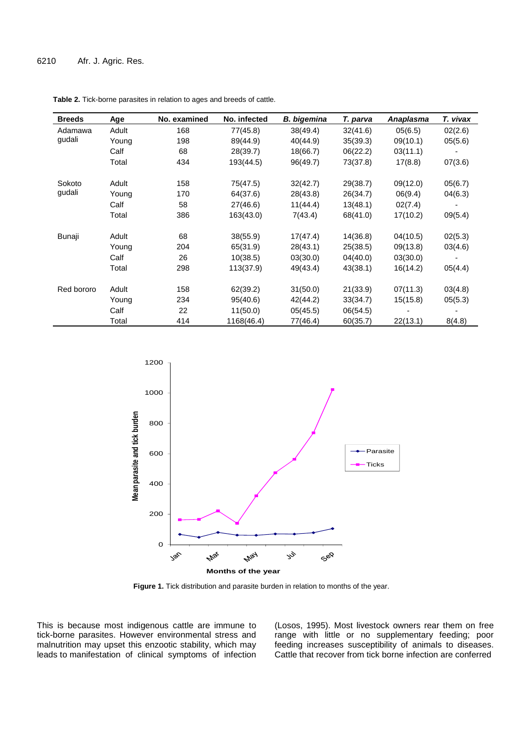| <b>Breeds</b>     | Age   | No. examined | No. infected | <b>B.</b> bigemina | T. parva | Anaplasma | T. vivax |
|-------------------|-------|--------------|--------------|--------------------|----------|-----------|----------|
| Adamawa<br>gudali | Adult | 168          | 77(45.8)     | 38(49.4)           | 32(41.6) | 05(6.5)   | 02(2.6)  |
|                   | Young | 198          | 89(44.9)     | 40(44.9)           | 35(39.3) | 09(10.1)  | 05(5.6)  |
|                   | Calf  | 68           | 28(39.7)     | 18(66.7)           | 06(22.2) | 03(11.1)  |          |
|                   | Total | 434          | 193(44.5)    | 96(49.7)           | 73(37.8) | 17(8.8)   | 07(3.6)  |
| Sokoto            | Adult | 158          | 75(47.5)     | 32(42.7)           | 29(38.7) | 09(12.0)  | 05(6.7)  |
| gudali            | Young | 170          | 64(37.6)     | 28(43.8)           | 26(34.7) | 06(9.4)   | 04(6.3)  |
|                   | Calf  | 58           | 27(46.6)     | 11(44.4)           | 13(48.1) | 02(7.4)   |          |
|                   | Total | 386          | 163(43.0)    | 7(43.4)            | 68(41.0) | 17(10.2)  | 09(5.4)  |
| Bunaji            | Adult | 68           | 38(55.9)     | 17(47.4)           | 14(36.8) | 04(10.5)  | 02(5.3)  |
|                   | Young | 204          | 65(31.9)     | 28(43.1)           | 25(38.5) | 09(13.8)  | 03(4.6)  |
|                   | Calf  | 26           | 10(38.5)     | 03(30.0)           | 04(40.0) | 03(30.0)  |          |
|                   | Total | 298          | 113(37.9)    | 49(43.4)           | 43(38.1) | 16(14.2)  | 05(4.4)  |
| Red bororo        | Adult | 158          | 62(39.2)     | 31(50.0)           | 21(33.9) | 07(11.3)  | 03(4.8)  |
|                   | Young | 234          | 95(40.6)     | 42(44.2)           | 33(34.7) | 15(15.8)  | 05(5.3)  |
|                   | Calf  | 22           | 11(50.0)     | 05(45.5)           | 06(54.5) |           |          |
|                   | Total | 414          | 1168(46.4)   | 77(46.4)           | 60(35.7) | 22(13.1)  | 8(4.8)   |

**Table 2.** Tick-borne parasites in relation to ages and breeds of cattle.



**Figure 1.** Tick distribution and parasite burden in relation to months of the year.

This is because most indigenous cattle are immune to tick-borne parasites. However environmental stress and malnutrition may upset this enzootic stability, which may leads to manifestation of clinical symptoms of infection (Losos, 1995). Most livestock owners rear them on free range with little or no supplementary feeding; poor feeding increases susceptibility of animals to diseases. Cattle that recover from tick borne infection are conferred